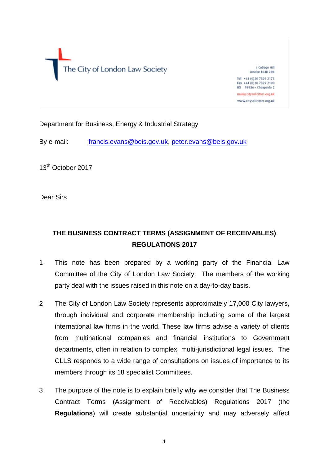The City of London Law Society

4 College Hill London EC4R 2RB Tel: +44 (0)20 7329 2173

Fax +44 (0)20 7329 2190 DX 98936 - Cheapside 2 mail@citysolicitors.org.uk

www.citysolicitors.org.uk

Department for Business, Energy & Industrial Strategy

By e-mail: [francis.evans@beis.gov.uk,](mailto:francis.evans@beis.gov.uk) [peter.evans@beis.gov.uk](mailto:peter.evans@beis.gov.uk)

13<sup>th</sup> October 2017

Dear Sirs

# **THE BUSINESS CONTRACT TERMS (ASSIGNMENT OF RECEIVABLES) REGULATIONS 2017**

- 1 This note has been prepared by a working party of the Financial Law Committee of the City of London Law Society. The members of the working party deal with the issues raised in this note on a day-to-day basis.
- 2 The City of London Law Society represents approximately 17,000 City lawyers, through individual and corporate membership including some of the largest international law firms in the world. These law firms advise a variety of clients from multinational companies and financial institutions to Government departments, often in relation to complex, multi-jurisdictional legal issues. The CLLS responds to a wide range of consultations on issues of importance to its members through its 18 specialist Committees.
- 3 The purpose of the note is to explain briefly why we consider that The Business Contract Terms (Assignment of Receivables) Regulations 2017 (the **Regulations**) will create substantial uncertainty and may adversely affect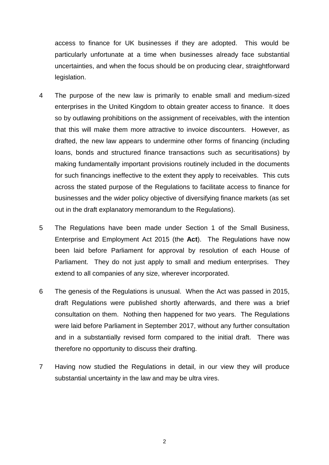access to finance for UK businesses if they are adopted. This would be particularly unfortunate at a time when businesses already face substantial uncertainties, and when the focus should be on producing clear, straightforward legislation.

- 4 The purpose of the new law is primarily to enable small and medium-sized enterprises in the United Kingdom to obtain greater access to finance. It does so by outlawing prohibitions on the assignment of receivables, with the intention that this will make them more attractive to invoice discounters. However, as drafted, the new law appears to undermine other forms of financing (including loans, bonds and structured finance transactions such as securitisations) by making fundamentally important provisions routinely included in the documents for such financings ineffective to the extent they apply to receivables. This cuts across the stated purpose of the Regulations to facilitate access to finance for businesses and the wider policy objective of diversifying finance markets (as set out in the draft explanatory memorandum to the Regulations).
- 5 The Regulations have been made under Section 1 of the Small Business, Enterprise and Employment Act 2015 (the **Act**). The Regulations have now been laid before Parliament for approval by resolution of each House of Parliament. They do not just apply to small and medium enterprises. They extend to all companies of any size, wherever incorporated.
- 6 The genesis of the Regulations is unusual. When the Act was passed in 2015, draft Regulations were published shortly afterwards, and there was a brief consultation on them. Nothing then happened for two years. The Regulations were laid before Parliament in September 2017, without any further consultation and in a substantially revised form compared to the initial draft. There was therefore no opportunity to discuss their drafting.
- 7 Having now studied the Regulations in detail, in our view they will produce substantial uncertainty in the law and may be ultra vires.

2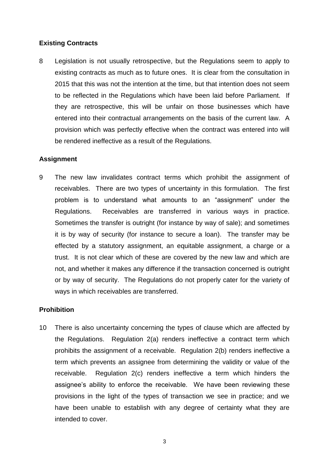## **Existing Contracts**

8 Legislation is not usually retrospective, but the Regulations seem to apply to existing contracts as much as to future ones. It is clear from the consultation in 2015 that this was not the intention at the time, but that intention does not seem to be reflected in the Regulations which have been laid before Parliament. If they are retrospective, this will be unfair on those businesses which have entered into their contractual arrangements on the basis of the current law. A provision which was perfectly effective when the contract was entered into will be rendered ineffective as a result of the Regulations.

## **Assignment**

9 The new law invalidates contract terms which prohibit the assignment of receivables. There are two types of uncertainty in this formulation. The first problem is to understand what amounts to an "assignment" under the Regulations. Receivables are transferred in various ways in practice. Sometimes the transfer is outright (for instance by way of sale); and sometimes it is by way of security (for instance to secure a loan). The transfer may be effected by a statutory assignment, an equitable assignment, a charge or a trust. It is not clear which of these are covered by the new law and which are not, and whether it makes any difference if the transaction concerned is outright or by way of security. The Regulations do not properly cater for the variety of ways in which receivables are transferred.

## **Prohibition**

10 There is also uncertainty concerning the types of clause which are affected by the Regulations. Regulation 2(a) renders ineffective a contract term which prohibits the assignment of a receivable. Regulation 2(b) renders ineffective a term which prevents an assignee from determining the validity or value of the receivable. Regulation 2(c) renders ineffective a term which hinders the assignee's ability to enforce the receivable. We have been reviewing these provisions in the light of the types of transaction we see in practice; and we have been unable to establish with any degree of certainty what they are intended to cover.

3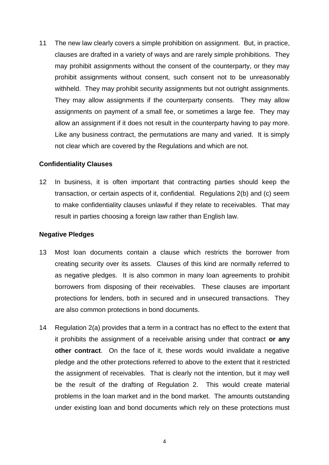11 The new law clearly covers a simple prohibition on assignment. But, in practice, clauses are drafted in a variety of ways and are rarely simple prohibitions. They may prohibit assignments without the consent of the counterparty, or they may prohibit assignments without consent, such consent not to be unreasonably withheld. They may prohibit security assignments but not outright assignments. They may allow assignments if the counterparty consents. They may allow assignments on payment of a small fee, or sometimes a large fee. They may allow an assignment if it does not result in the counterparty having to pay more. Like any business contract, the permutations are many and varied. It is simply not clear which are covered by the Regulations and which are not.

## **Confidentiality Clauses**

12 In business, it is often important that contracting parties should keep the transaction, or certain aspects of it, confidential. Regulations 2(b) and (c) seem to make confidentiality clauses unlawful if they relate to receivables. That may result in parties choosing a foreign law rather than English law.

#### **Negative Pledges**

- 13 Most loan documents contain a clause which restricts the borrower from creating security over its assets. Clauses of this kind are normally referred to as negative pledges. It is also common in many loan agreements to prohibit borrowers from disposing of their receivables. These clauses are important protections for lenders, both in secured and in unsecured transactions. They are also common protections in bond documents.
- 14 Regulation 2(a) provides that a term in a contract has no effect to the extent that it prohibits the assignment of a receivable arising under that contract **or any other contract**. On the face of it, these words would invalidate a negative pledge and the other protections referred to above to the extent that it restricted the assignment of receivables. That is clearly not the intention, but it may well be the result of the drafting of Regulation 2. This would create material problems in the loan market and in the bond market. The amounts outstanding under existing loan and bond documents which rely on these protections must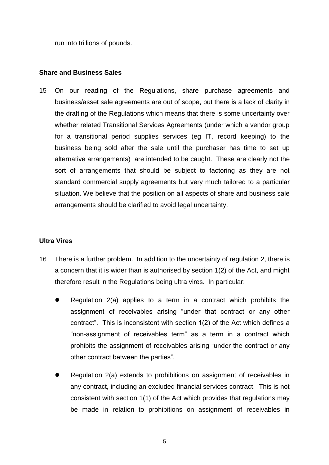run into trillions of pounds.

## **Share and Business Sales**

15 On our reading of the Regulations, share purchase agreements and business/asset sale agreements are out of scope, but there is a lack of clarity in the drafting of the Regulations which means that there is some uncertainty over whether related Transitional Services Agreements (under which a vendor group for a transitional period supplies services (eg IT, record keeping) to the business being sold after the sale until the purchaser has time to set up alternative arrangements) are intended to be caught. These are clearly not the sort of arrangements that should be subject to factoring as they are not standard commercial supply agreements but very much tailored to a particular situation. We believe that the position on all aspects of share and business sale arrangements should be clarified to avoid legal uncertainty.

#### **Ultra Vires**

- 16 There is a further problem. In addition to the uncertainty of regulation 2, there is a concern that it is wider than is authorised by section 1(2) of the Act, and might therefore result in the Regulations being ultra vires. In particular:
	- Regulation 2(a) applies to a term in a contract which prohibits the assignment of receivables arising "under that contract or any other contract". This is inconsistent with section 1(2) of the Act which defines a "non-assignment of receivables term" as a term in a contract which prohibits the assignment of receivables arising "under the contract or any other contract between the parties".
	- Regulation 2(a) extends to prohibitions on assignment of receivables in any contract, including an excluded financial services contract. This is not consistent with section 1(1) of the Act which provides that regulations may be made in relation to prohibitions on assignment of receivables in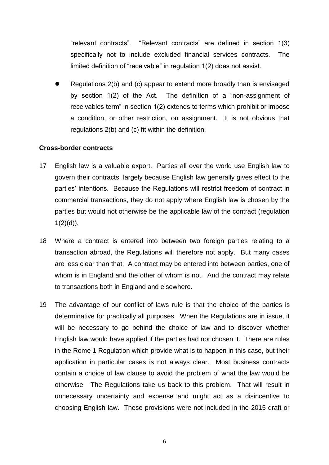"relevant contracts". "Relevant contracts" are defined in section 1(3) specifically not to include excluded financial services contracts. The limited definition of "receivable" in regulation 1(2) does not assist.

 Regulations 2(b) and (c) appear to extend more broadly than is envisaged by section 1(2) of the Act. The definition of a "non-assignment of receivables term" in section 1(2) extends to terms which prohibit or impose a condition, or other restriction, on assignment. It is not obvious that regulations 2(b) and (c) fit within the definition.

## **Cross-border contracts**

- 17 English law is a valuable export. Parties all over the world use English law to govern their contracts, largely because English law generally gives effect to the parties' intentions. Because the Regulations will restrict freedom of contract in commercial transactions, they do not apply where English law is chosen by the parties but would not otherwise be the applicable law of the contract (regulation  $1(2)(d)$ ).
- 18 Where a contract is entered into between two foreign parties relating to a transaction abroad, the Regulations will therefore not apply. But many cases are less clear than that. A contract may be entered into between parties, one of whom is in England and the other of whom is not. And the contract may relate to transactions both in England and elsewhere.
- 19 The advantage of our conflict of laws rule is that the choice of the parties is determinative for practically all purposes. When the Regulations are in issue, it will be necessary to go behind the choice of law and to discover whether English law would have applied if the parties had not chosen it. There are rules in the Rome 1 Regulation which provide what is to happen in this case, but their application in particular cases is not always clear. Most business contracts contain a choice of law clause to avoid the problem of what the law would be otherwise. The Regulations take us back to this problem. That will result in unnecessary uncertainty and expense and might act as a disincentive to choosing English law. These provisions were not included in the 2015 draft or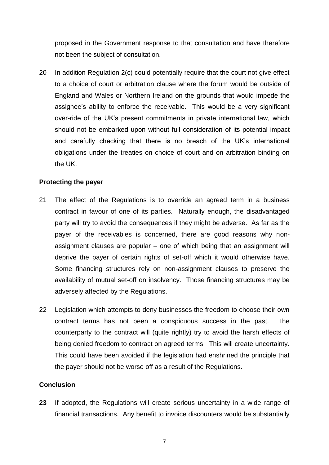proposed in the Government response to that consultation and have therefore not been the subject of consultation.

20 In addition Regulation 2(c) could potentially require that the court not give effect to a choice of court or arbitration clause where the forum would be outside of England and Wales or Northern Ireland on the grounds that would impede the assignee's ability to enforce the receivable. This would be a very significant over-ride of the UK's present commitments in private international law, which should not be embarked upon without full consideration of its potential impact and carefully checking that there is no breach of the UK's international obligations under the treaties on choice of court and on arbitration binding on the UK.

#### **Protecting the payer**

- 21 The effect of the Regulations is to override an agreed term in a business contract in favour of one of its parties. Naturally enough, the disadvantaged party will try to avoid the consequences if they might be adverse. As far as the payer of the receivables is concerned, there are good reasons why nonassignment clauses are popular – one of which being that an assignment will deprive the payer of certain rights of set-off which it would otherwise have. Some financing structures rely on non-assignment clauses to preserve the availability of mutual set-off on insolvency. Those financing structures may be adversely affected by the Regulations.
- 22 Legislation which attempts to deny businesses the freedom to choose their own contract terms has not been a conspicuous success in the past. The counterparty to the contract will (quite rightly) try to avoid the harsh effects of being denied freedom to contract on agreed terms. This will create uncertainty. This could have been avoided if the legislation had enshrined the principle that the payer should not be worse off as a result of the Regulations.

#### **Conclusion**

**23** If adopted, the Regulations will create serious uncertainty in a wide range of financial transactions. Any benefit to invoice discounters would be substantially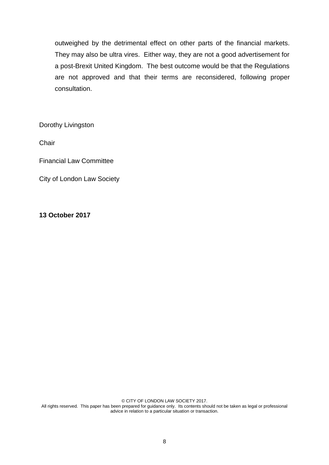outweighed by the detrimental effect on other parts of the financial markets. They may also be ultra vires. Either way, they are not a good advertisement for a post-Brexit United Kingdom. The best outcome would be that the Regulations are not approved and that their terms are reconsidered, following proper consultation.

Dorothy Livingston

**Chair** 

Financial Law Committee

City of London Law Society

#### **13 October 2017**

© CITY OF LONDON LAW SOCIETY 2017. All rights reserved. This paper has been prepared for guidance only. Its contents should not be taken as legal or professional advice in relation to a particular situation or transaction.